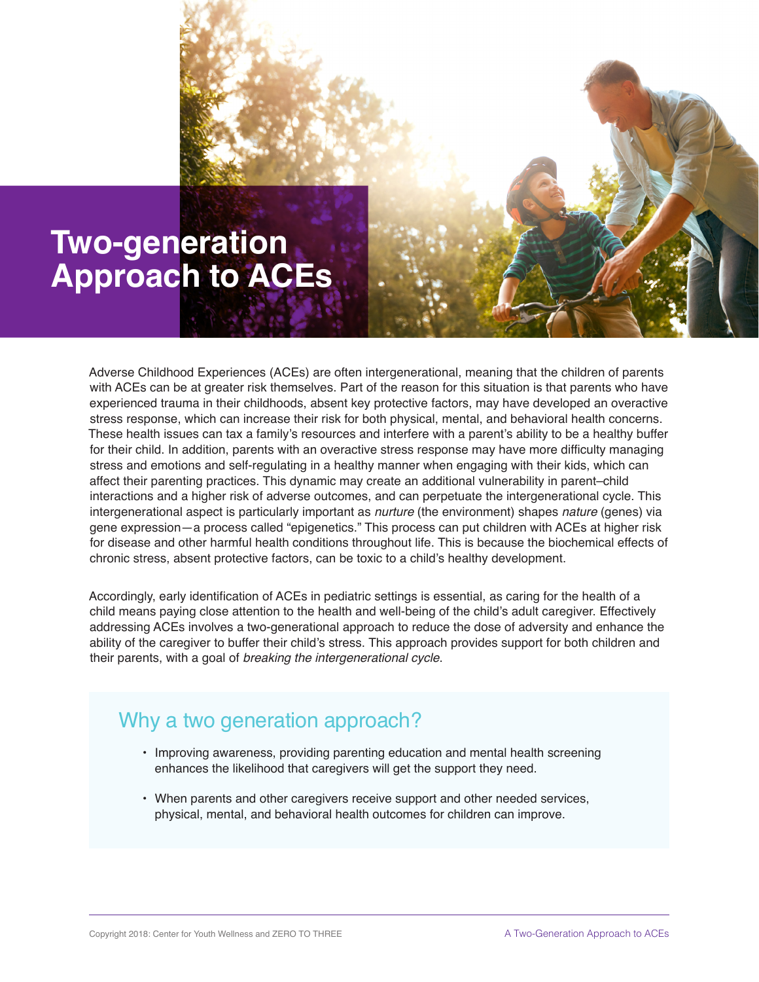

Adverse Childhood Experiences (ACEs) are often intergenerational, meaning that the children of parents with ACEs can be at greater risk themselves. Part of the reason for this situation is that parents who have experienced trauma in their childhoods, absent key protective factors, may have developed an overactive stress response, which can increase their risk for both physical, mental, and behavioral health concerns. These health issues can tax a family's resources and interfere with a parent's ability to be a healthy buffer for their child. In addition, parents with an overactive stress response may have more difficulty managing stress and emotions and self-regulating in a healthy manner when engaging with their kids, which can affect their parenting practices. This dynamic may create an additional vulnerability in parent–child interactions and a higher risk of adverse outcomes, and can perpetuate the intergenerational cycle. This intergenerational aspect is particularly important as *nurture* (the environment) shapes *nature* (genes) via gene expression—a process called "epigenetics." This process can put children with ACEs at higher risk for disease and other harmful health conditions throughout life. This is because the biochemical effects of chronic stress, absent protective factors, can be toxic to a child's healthy development.

Accordingly, early identification of ACEs in pediatric settings is essential, as caring for the health of a child means paying close attention to the health and well-being of the child's adult caregiver. Effectively addressing ACEs involves a two-generational approach to reduce the dose of adversity and enhance the ability of the caregiver to buffer their child's stress. This approach provides support for both children and their parents, with a goal of *breaking the intergenerational cycle*.

## Why a two generation approach?

- Improving awareness, providing parenting education and mental health screening enhances the likelihood that caregivers will get the support they need.
- When parents and other caregivers receive support and other needed services, physical, mental, and behavioral health outcomes for children can improve.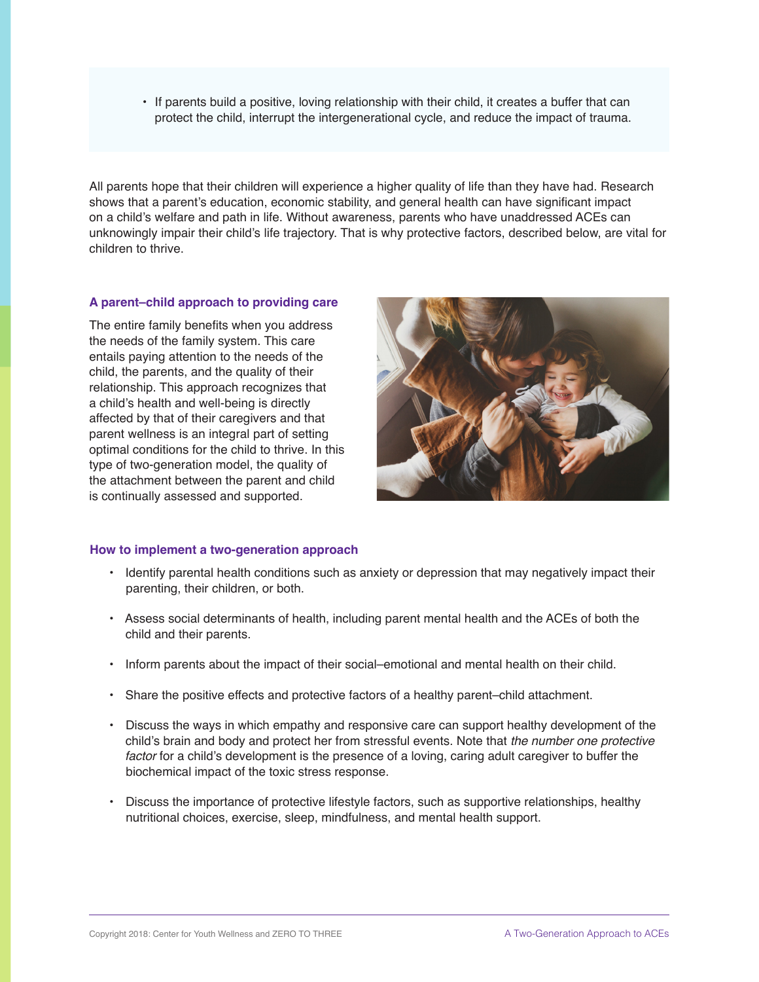• If parents build a positive, loving relationship with their child, it creates a buffer that can protect the child, interrupt the intergenerational cycle, and reduce the impact of trauma.

All parents hope that their children will experience a higher quality of life than they have had. Research shows that a parent's education, economic stability, and general health can have significant impact on a child's welfare and path in life. Without awareness, parents who have unaddressed ACEs can unknowingly impair their child's life trajectory. That is why protective factors, described below, are vital for children to thrive.

## **A parent–child approach to providing care**

The entire family benefits when you address the needs of the family system. This care entails paying attention to the needs of the child, the parents, and the quality of their relationship. This approach recognizes that a child's health and well-being is directly affected by that of their caregivers and that parent wellness is an integral part of setting optimal conditions for the child to thrive. In this type of two-generation model, the quality of the attachment between the parent and child is continually assessed and supported.



## **How to implement a two-generation approach**

- Identify parental health conditions such as anxiety or depression that may negatively impact their parenting, their children, or both.
- Assess social determinants of health, including parent mental health and the ACEs of both the child and their parents.
- Inform parents about the impact of their social–emotional and mental health on their child.
- Share the positive effects and protective factors of a healthy parent–child attachment.
- Discuss the ways in which empathy and responsive care can support healthy development of the child's brain and body and protect her from stressful events. Note that *the number one protective factor* for a child's development is the presence of a loving, caring adult caregiver to buffer the biochemical impact of the toxic stress response.
- Discuss the importance of protective lifestyle factors, such as supportive relationships, healthy nutritional choices, exercise, sleep, mindfulness, and mental health support.